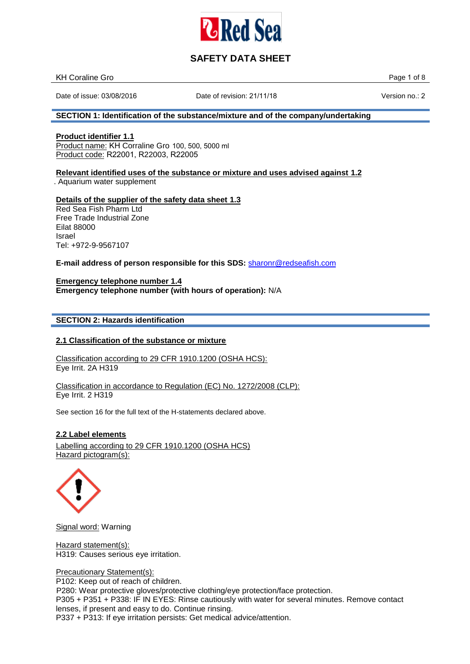

| <b>KH Coraline Gro</b> | Page 1 |
|------------------------|--------|
| __                     | 0t     |
|                        |        |

Date of issue: 03/08/2016 Date of revision: 21/11/18 Version no.: 2

# **SECTION 1: Identification of the substance/mixture and of the company/undertaking**

**Product identifier 1.1** Product name: KH Corraline Gro 100, 500, 5000 ml Product code: R22001, R22003, R22005

## **Relevant identified uses of the substance or mixture and uses advised against 1.2**

. Aquarium water supplement

#### **Details of the supplier of the safety data sheet 1.3**

Red Sea Fish Pharm Ltd Free Trade Industrial Zone Eilat 88000 Israel Tel: +972-9-9567107

**E-mail address of person responsible for this SDS:** [sharonr@redseafish.co](mailto:sharonr@redseafish.co.il)m

**Emergency telephone number 1.4 Emergency telephone number (with hours of operation):** N/A

## **SECTION 2: Hazards identification**

### **2.1 Classification of the substance or mixture**

Classification according to 29 CFR 1910.1200 (OSHA HCS): Eye Irrit. 2A H319

Classification in accordance to Regulation (EC) No. 1272/2008 (CLP): Eye Irrit. 2 H319

See section 16 for the full text of the H-statements declared above.

### **2.2 Label elements**

Labelling according to 29 CFR 1910.1200 (OSHA HCS) Hazard pictogram(s):



Signal word: Warning

Hazard statement(s): H319: Causes serious eye irritation.

Precautionary Statement(s):

P102: Keep out of reach of children.

P280: Wear protective gloves/protective clothing/eye protection/face protection.

P305 + P351 + P338: IF IN EYES: Rinse cautiously with water for several minutes. Remove contact lenses, if present and easy to do. Continue rinsing.

P337 + P313: If eye irritation persists: Get medical advice/attention.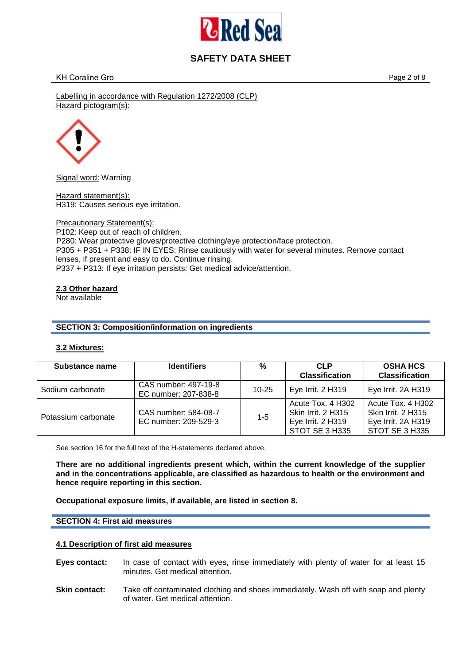

Labelling in accordance with Regulation 1272/2008 (CLP) Hazard pictogram(s):



Signal word: Warning

Hazard statement(s): H319: Causes serious eye irritation.

Precautionary Statement(s): P102: Keep out of reach of children. P280: Wear protective gloves/protective clothing/eye protection/face protection. P305 + P351 + P338: IF IN EYES: Rinse cautiously with water for several minutes. Remove contact lenses, if present and easy to do. Continue rinsing. P337 + P313: If eye irritation persists: Get medical advice/attention.

### **2.3 Other hazard**

Not available

## **SECTION 3: Composition/information on ingredients**

### **3.2 Mixtures:**

| Substance name      | <b>Identifiers</b>                           | %         | <b>CLP</b><br><b>Classification</b>                                                   | <b>OSHA HCS</b><br><b>Classification</b>                                        |
|---------------------|----------------------------------------------|-----------|---------------------------------------------------------------------------------------|---------------------------------------------------------------------------------|
| Sodium carbonate    | CAS number: 497-19-8<br>EC number: 207-838-8 | $10 - 25$ | Eye Irrit. 2 H319                                                                     | Eye Irrit. 2A H319                                                              |
| Potassium carbonate | CAS number: 584-08-7<br>EC number: 209-529-3 | $1 - 5$   | Acute Tox, 4 H302<br><b>Skin Irrit. 2 H315</b><br>Eye Irrit. 2 H319<br>STOT SE 3 H335 | Acute Tox, 4 H302<br>Skin Irrit. 2 H315<br>Eye Irrit. 2A H319<br>STOT SE 3 H335 |

See section 16 for the full text of the H-statements declared above.

**There are no additional ingredients present which, within the current knowledge of the supplier and in the concentrations applicable, are classified as hazardous to health or the environment and hence require reporting in this section.** 

**Occupational exposure limits, if available, are listed in section 8.**

### **SECTION 4: First aid measures**

### **4.1 Description of first aid measures**

- **Eyes contact:** In case of contact with eyes, rinse immediately with plenty of water for at least 15 minutes. Get medical attention.
- **Skin contact:** Take off contaminated clothing and shoes immediately. Wash off with soap and plenty of water. Get medical attention.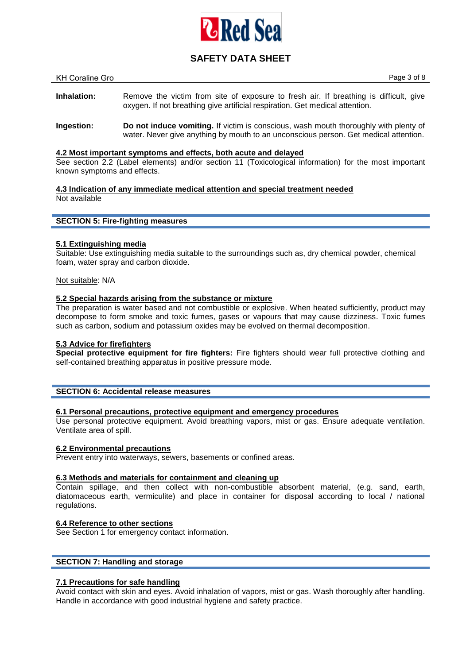

| KH Coraline Gro |                                                                                                                                                                       |  | Page 3 of 8 |
|-----------------|-----------------------------------------------------------------------------------------------------------------------------------------------------------------------|--|-------------|
| Inhalation:     | Remove the victim from site of exposure to fresh air. If breathing is difficult, give<br>oxygen. If not breathing give artificial respiration. Get medical attention. |  |             |
|                 |                                                                                                                                                                       |  |             |

**Ingestion: Do not induce vomiting.** If victim is conscious, wash mouth thoroughly with plenty of water. Never give anything by mouth to an unconscious person. Get medical attention.

## **4.2 Most important symptoms and effects, both acute and delayed**

See section 2.2 (Label elements) and/or section 11 (Toxicological information) for the most important known symptoms and effects.

**4.3 Indication of any immediate medical attention and special treatment needed**  Not available

#### **SECTION 5: Fire-fighting measures**

### **5.1 Extinguishing media**

Suitable: Use extinguishing media suitable to the surroundings such as, dry chemical powder, chemical foam, water spray and carbon dioxide.

Not suitable: N/A

#### **5.2 Special hazards arising from the substance or mixture**

The preparation is water based and not combustible or explosive. When heated sufficiently, product may decompose to form smoke and toxic fumes, gases or vapours that may cause dizziness. Toxic fumes such as carbon, sodium and potassium oxides may be evolved on thermal decomposition.

### **5.3 Advice for firefighters**

**Special protective equipment for fire fighters:** Fire fighters should wear full protective clothing and self-contained breathing apparatus in positive pressure mode.

#### **SECTION 6: Accidental release measures**

### **6.1 Personal precautions, protective equipment and emergency procedures**

Use personal protective equipment. Avoid breathing vapors, mist or gas. Ensure adequate ventilation. Ventilate area of spill.

### **6.2 Environmental precautions**

Prevent entry into waterways, sewers, basements or confined areas.

#### **6.3 Methods and materials for containment and cleaning up**

Contain spillage, and then collect with non-combustible absorbent material, (e.g. sand, earth, diatomaceous earth, vermiculite) and place in container for disposal according to local / national regulations.

### **6.4 Reference to other sections**

See Section 1 for emergency contact information.

### **SECTION 7: Handling and storage**

## **7.1 Precautions for safe handling**

Avoid contact with skin and eyes. Avoid inhalation of vapors, mist or gas. Wash thoroughly after handling. Handle in accordance with good industrial hygiene and safety practice.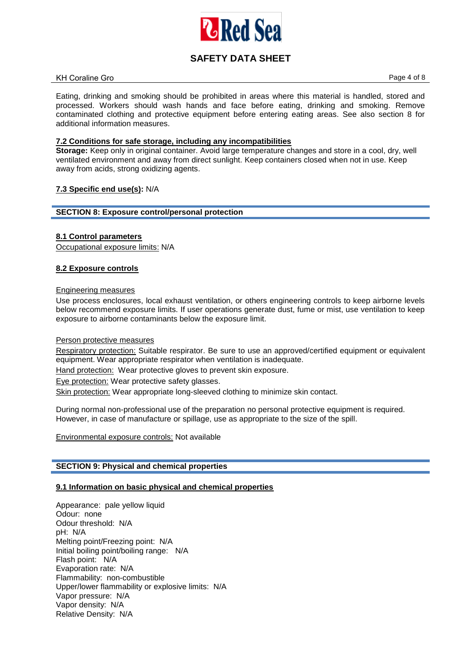

#### KH Coraline Gro **Page 4 of 8**

Eating, drinking and smoking should be prohibited in areas where this material is handled, stored and processed. Workers should wash hands and face before eating, drinking and smoking. Remove contaminated clothing and protective equipment before entering eating areas. See also section 8 for additional information measures.

## **7.2 Conditions for safe storage, including any incompatibilities**

**Storage:** Keep only in original container. Avoid large temperature changes and store in a cool, dry, well ventilated environment and away from direct sunlight. Keep containers closed when not in use. Keep away from acids, strong oxidizing agents.

### **7.3 Specific end use(s):** N/A

### **SECTION 8: Exposure control/personal protection**

### **8.1 Control parameters**

Occupational exposure limits: N/A

## **8.2 Exposure controls**

## Engineering measures

Use process enclosures, local exhaust ventilation, or others engineering controls to keep airborne levels below recommend exposure limits. If user operations generate dust, fume or mist, use ventilation to keep exposure to airborne contaminants below the exposure limit.

### Person protective measures

Respiratory protection: Suitable respirator. Be sure to use an approved/certified equipment or equivalent equipment. Wear appropriate respirator when ventilation is inadequate.

Hand protection:Wear protective gloves to prevent skin exposure.

Eye protection: Wear protective safety glasses.

Skin protection: Wear appropriate long-sleeved clothing to minimize skin contact.

During normal non-professional use of the preparation no personal protective equipment is required. However, in case of manufacture or spillage, use as appropriate to the size of the spill.

Environmental exposure controls: Not available

### **SECTION 9: Physical and chemical properties**

### **9.1 Information on basic physical and chemical properties**

Appearance: pale yellow liquid Odour: none Odour threshold: N/A pH: N/A Melting point/Freezing point: N/A Initial boiling point/boiling range: N/A Flash point: N/A Evaporation rate: N/A Flammability: non-combustible Upper/lower flammability or explosive limits: N/A Vapor pressure: N/A Vapor density: N/A Relative Density: N/A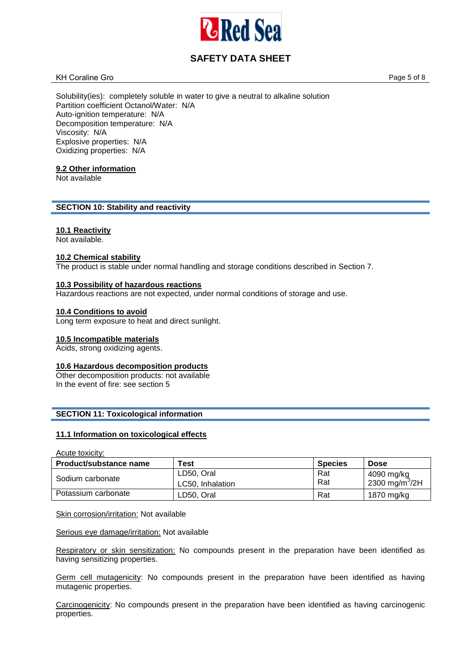

### KH Coraline Gro **Page 5 of 8**

Solubility(ies): completely soluble in water to give a neutral to alkaline solution Partition coefficient Octanol/Water: N/A Auto-ignition temperature: N/A Decomposition temperature: N/A Viscosity: N/A Explosive properties: N/A Oxidizing properties: N/A

## **9.2 Other information**

Not available

## **SECTION 10: Stability and reactivity**

### **10.1 Reactivity**

Not available.

#### **10.2 Chemical stability**

The product is stable under normal handling and storage conditions described in Section 7.

#### **10.3 Possibility of hazardous reactions**

Hazardous reactions are not expected, under normal conditions of storage and use.

#### **10.4 Conditions to avoid**

Long term exposure to heat and direct sunlight.

#### **10.5 Incompatible materials**

Acids, strong oxidizing agents.

# **10.6 Hazardous decomposition products**

Other decomposition products: not available In the event of fire: see section 5

### **SECTION 11: Toxicological information**

## **11.1 Information on toxicological effects**

Acute toxicity:

| Product/substance name | Test             | <b>Species</b> | <b>Dose</b>                |
|------------------------|------------------|----------------|----------------------------|
| Sodium carbonate       | LD50, Oral       | Rat            | 4090 mg/kg                 |
|                        | LC50, Inhalation | Rat            | 2300 mg/m <sup>3</sup> /2H |
| Potassium carbonate    | LD50. Oral       | Rat            | 1870 mg/kg                 |

### Skin corrosion/irritation: Not available

Serious eye damage/irritation: Not available

Respiratory or skin sensitization: No compounds present in the preparation have been identified as having sensitizing properties.

Germ cell mutagenicity: No compounds present in the preparation have been identified as having mutagenic properties.

Carcinogenicity: No compounds present in the preparation have been identified as having carcinogenic properties.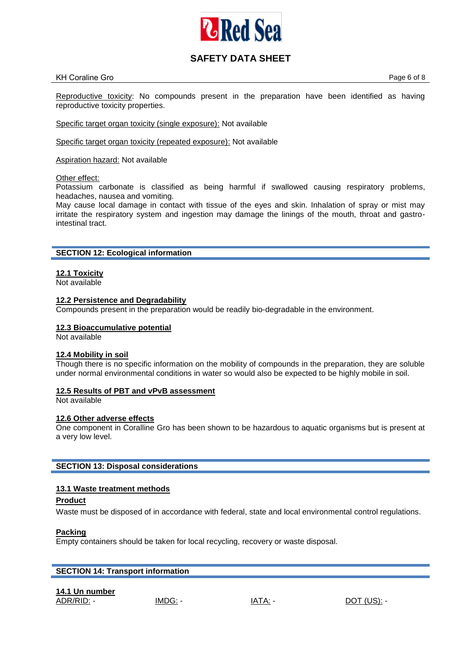

### KH Coraline Gro **Page 6 of 8**

Reproductive toxicity: No compounds present in the preparation have been identified as having reproductive toxicity properties.

Specific target organ toxicity (single exposure): Not available

Specific target organ toxicity (repeated exposure): Not available

Aspiration hazard: Not available

### Other effect:

Potassium carbonate is classified as being harmful if swallowed causing respiratory problems, headaches, nausea and vomiting.

May cause local damage in contact with tissue of the eyes and skin. Inhalation of spray or mist may irritate the respiratory system and ingestion may damage the linings of the mouth, throat and gastrointestinal tract.

### **SECTION 12: Ecological information**

**12.1 Toxicity** 

Not available

### **12.2 Persistence and Degradability**

Compounds present in the preparation would be readily bio-degradable in the environment.

### **12.3 Bioaccumulative potential**

Not available

### **12.4 Mobility in soil**

Though there is no specific information on the mobility of compounds in the preparation, they are soluble under normal environmental conditions in water so would also be expected to be highly mobile in soil.

### **12.5 Results of PBT and vPvB assessment**

Not available

### **12.6 Other adverse effects**

One component in Coralline Gro has been shown to be hazardous to aquatic organisms but is present at a very low level.

### **SECTION 13: Disposal considerations**

### **13.1 Waste treatment methods**

## **Product**

Waste must be disposed of in accordance with federal, state and local environmental control regulations.

### **Packing**

Empty containers should be taken for local recycling, recovery or waste disposal.

| <b>SECTION 14: Transport information</b> |         |       |  |  |  |
|------------------------------------------|---------|-------|--|--|--|
| 14.1 Un number                           | IMDG: - | IATA: |  |  |  |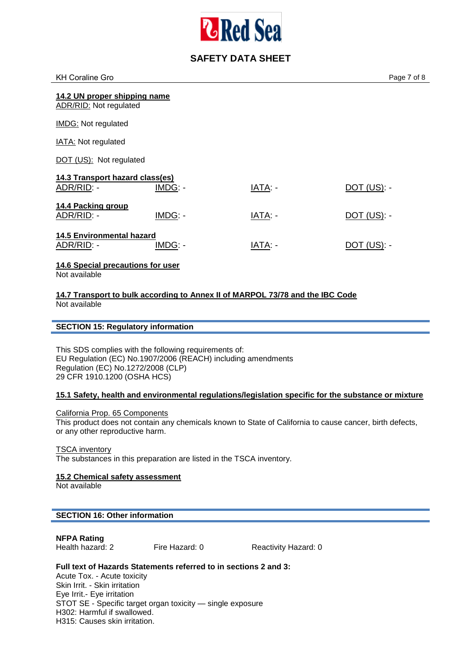

| <b>KH Coraline Gro</b>                                        |         |                | Page 7 of 8    |
|---------------------------------------------------------------|---------|----------------|----------------|
| 14.2 UN proper shipping name<br><b>ADR/RID: Not regulated</b> |         |                |                |
| IMDG: Not regulated                                           |         |                |                |
| <b>IATA: Not regulated</b>                                    |         |                |                |
| DOT (US): Not regulated                                       |         |                |                |
| 14.3 Transport hazard class(es)<br>ADR/RID: -                 | IMDG: - | IATA: -        | $DOT (US)$ : - |
| 14.4 Packing group<br>ADR/RID: -                              | IMDG: - | IATA: -        | $DOT$ (US): -  |
| <b>14.5 Environmental hazard</b><br>ADR/RID: -                | IMDG: - | <b>IATA: -</b> | $DOT$ (US): -  |
| 14.6 Special precautions for user<br>Not available            |         |                |                |

### **14.7 Transport to bulk according to Annex II of MARPOL 73/78 and the IBC Code**  Not available

### **SECTION 15: Regulatory information**

This SDS complies with the following requirements of: EU Regulation (EC) No.1907/2006 (REACH) including amendments Regulation (EC) No.1272/2008 (CLP) 29 CFR 1910.1200 (OSHA HCS)

## **15.1 Safety, health and environmental regulations/legislation specific for the substance or mixture**

California Prop. 65 Components This product does not contain any chemicals known to State of California to cause cancer, birth defects, or any other reproductive harm.

TSCA inventory The substances in this preparation are listed in the TSCA inventory.

**15.2 Chemical safety assessment** 

Not available

## **SECTION 16: Other information**

**NFPA Rating** 

Fire Hazard: 0 Reactivity Hazard: 0

# **Full text of Hazards Statements referred to in sections 2 and 3:**

Acute Tox. - Acute toxicity Skin Irrit. - Skin irritation Eye Irrit.- Eye irritation STOT SE - Specific target organ toxicity — single exposure H302: Harmful if swallowed. H315: Causes skin irritation.